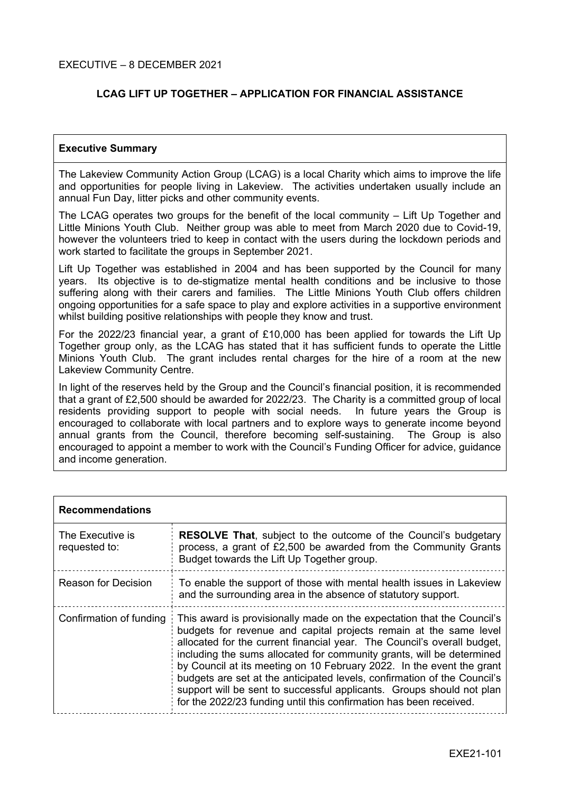## **LCAG LIFT UP TOGETHER – APPLICATION FOR FINANCIAL ASSISTANCE**

### **Executive Summary**

The Lakeview Community Action Group (LCAG) is a local Charity which aims to improve the life and opportunities for people living in Lakeview. The activities undertaken usually include an annual Fun Day, litter picks and other community events.

The LCAG operates two groups for the benefit of the local community – Lift Up Together and Little Minions Youth Club. Neither group was able to meet from March 2020 due to Covid-19, however the volunteers tried to keep in contact with the users during the lockdown periods and work started to facilitate the groups in September 2021.

Lift Up Together was established in 2004 and has been supported by the Council for many years. Its objective is to de-stigmatize mental health conditions and be inclusive to those suffering along with their carers and families. The Little Minions Youth Club offers children ongoing opportunities for a safe space to play and explore activities in a supportive environment whilst building positive relationships with people they know and trust.

For the 2022/23 financial year, a grant of £10,000 has been applied for towards the Lift Up Together group only, as the LCAG has stated that it has sufficient funds to operate the Little Minions Youth Club. The grant includes rental charges for the hire of a room at the new Lakeview Community Centre.

In light of the reserves held by the Group and the Council's financial position, it is recommended that a grant of £2,500 should be awarded for 2022/23. The Charity is a committed group of local residents providing support to people with social needs. In future years the Group is encouraged to collaborate with local partners and to explore ways to generate income beyond annual grants from the Council, therefore becoming self-sustaining. The Group is also encouraged to appoint a member to work with the Council's Funding Officer for advice, guidance and income generation.

| <b>Recommendations</b>            |                                                                                                                                                                                                                                                                                                                                                                                                                                                                                                                                                                                                     |  |
|-----------------------------------|-----------------------------------------------------------------------------------------------------------------------------------------------------------------------------------------------------------------------------------------------------------------------------------------------------------------------------------------------------------------------------------------------------------------------------------------------------------------------------------------------------------------------------------------------------------------------------------------------------|--|
| The Executive is<br>requested to: | <b>RESOLVE That, subject to the outcome of the Council's budgetary</b><br>process, a grant of £2,500 be awarded from the Community Grants<br>Budget towards the Lift Up Together group.                                                                                                                                                                                                                                                                                                                                                                                                             |  |
| <b>Reason for Decision</b>        | To enable the support of those with mental health issues in Lakeview<br>and the surrounding area in the absence of statutory support.                                                                                                                                                                                                                                                                                                                                                                                                                                                               |  |
| Confirmation of funding           | This award is provisionally made on the expectation that the Council's<br>budgets for revenue and capital projects remain at the same level<br>allocated for the current financial year. The Council's overall budget,<br>including the sums allocated for community grants, will be determined<br>by Council at its meeting on 10 February 2022. In the event the grant<br>budgets are set at the anticipated levels, confirmation of the Council's<br>support will be sent to successful applicants. Groups should not plan<br>for the 2022/23 funding until this confirmation has been received. |  |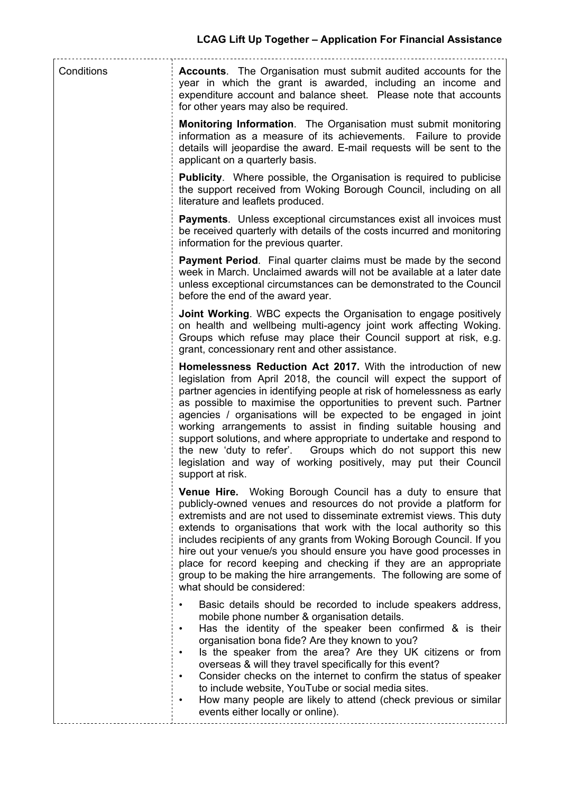| Conditions | <b>Accounts.</b> The Organisation must submit audited accounts for the<br>year in which the grant is awarded, including an income and<br>expenditure account and balance sheet. Please note that accounts<br>for other years may also be required.                                                                                                                                                                                                                                                                                                                                                                                                           |
|------------|--------------------------------------------------------------------------------------------------------------------------------------------------------------------------------------------------------------------------------------------------------------------------------------------------------------------------------------------------------------------------------------------------------------------------------------------------------------------------------------------------------------------------------------------------------------------------------------------------------------------------------------------------------------|
|            | <b>Monitoring Information.</b> The Organisation must submit monitoring<br>information as a measure of its achievements. Failure to provide<br>details will jeopardise the award. E-mail requests will be sent to the<br>applicant on a quarterly basis.                                                                                                                                                                                                                                                                                                                                                                                                      |
|            | <b>Publicity.</b> Where possible, the Organisation is required to publicise<br>the support received from Woking Borough Council, including on all<br>literature and leaflets produced.                                                                                                                                                                                                                                                                                                                                                                                                                                                                       |
|            | <b>Payments.</b> Unless exceptional circumstances exist all invoices must<br>be received quarterly with details of the costs incurred and monitoring<br>information for the previous quarter.                                                                                                                                                                                                                                                                                                                                                                                                                                                                |
|            | <b>Payment Period.</b> Final quarter claims must be made by the second<br>week in March. Unclaimed awards will not be available at a later date<br>unless exceptional circumstances can be demonstrated to the Council<br>before the end of the award year.                                                                                                                                                                                                                                                                                                                                                                                                  |
|            | <b>Joint Working.</b> WBC expects the Organisation to engage positively<br>on health and wellbeing multi-agency joint work affecting Woking.<br>Groups which refuse may place their Council support at risk, e.g.<br>grant, concessionary rent and other assistance.                                                                                                                                                                                                                                                                                                                                                                                         |
|            | Homelessness Reduction Act 2017. With the introduction of new<br>legislation from April 2018, the council will expect the support of<br>partner agencies in identifying people at risk of homelessness as early<br>as possible to maximise the opportunities to prevent such. Partner<br>agencies / organisations will be expected to be engaged in joint<br>working arrangements to assist in finding suitable housing and<br>support solutions, and where appropriate to undertake and respond to<br>the new 'duty to refer'. Groups which do not support this new<br>legislation and way of working positively, may put their Council<br>support at risk. |
|            | <b>Venue Hire.</b> Woking Borough Council has a duty to ensure that<br>publicly-owned venues and resources do not provide a platform for<br>extremists and are not used to disseminate extremist views. This duty<br>extends to organisations that work with the local authority so this<br>includes recipients of any grants from Woking Borough Council. If you<br>hire out your venue/s you should ensure you have good processes in<br>place for record keeping and checking if they are an appropriate<br>group to be making the hire arrangements. The following are some of<br>what should be considered:                                             |
|            | Basic details should be recorded to include speakers address,<br>mobile phone number & organisation details.<br>Has the identity of the speaker been confirmed & is their<br>$\bullet$<br>organisation bona fide? Are they known to you?<br>Is the speaker from the area? Are they UK citizens or from<br>$\bullet$<br>overseas & will they travel specifically for this event?<br>Consider checks on the internet to confirm the status of speaker<br>$\bullet$<br>to include website, YouTube or social media sites.<br>How many people are likely to attend (check previous or similar<br>$\bullet$<br>events either locally or online).                  |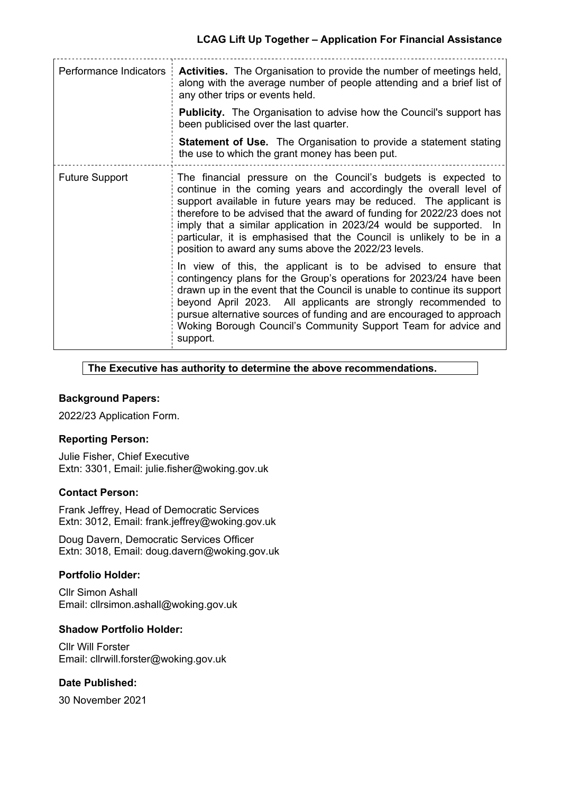| Performance Indicators | Activities. The Organisation to provide the number of meetings held,<br>along with the average number of people attending and a brief list of<br>any other trips or events held.<br><b>Publicity.</b> The Organisation to advise how the Council's support has<br>been publicised over the last quarter.<br><b>Statement of Use.</b> The Organisation to provide a statement stating<br>the use to which the grant money has been put.                                                    |
|------------------------|-------------------------------------------------------------------------------------------------------------------------------------------------------------------------------------------------------------------------------------------------------------------------------------------------------------------------------------------------------------------------------------------------------------------------------------------------------------------------------------------|
| <b>Future Support</b>  | The financial pressure on the Council's budgets is expected to<br>continue in the coming years and accordingly the overall level of<br>support available in future years may be reduced. The applicant is<br>therefore to be advised that the award of funding for 2022/23 does not<br>imply that a similar application in 2023/24 would be supported. In<br>particular, it is emphasised that the Council is unlikely to be in a<br>position to award any sums above the 2022/23 levels. |
|                        | In view of this, the applicant is to be advised to ensure that<br>contingency plans for the Group's operations for 2023/24 have been<br>drawn up in the event that the Council is unable to continue its support<br>beyond April 2023. All applicants are strongly recommended to<br>pursue alternative sources of funding and are encouraged to approach<br>Woking Borough Council's Community Support Team for advice and<br>support.                                                   |

## **The Executive has authority to determine the above recommendations.**

## **Background Papers:**

2022/23 Application Form.

## **Reporting Person:**

Julie Fisher, Chief Executive Extn: 3301, Email: julie.fisher@woking.gov.uk

#### **Contact Person:**

Frank Jeffrey, Head of Democratic Services Extn: 3012, Email: frank.jeffrey@woking.gov.uk

Doug Davern, Democratic Services Officer Extn: 3018, Email: doug.davern@woking.gov.uk

## **Portfolio Holder:**

Cllr Simon Ashall Email: cllrsimon.ashall@woking.gov.uk

#### **Shadow Portfolio Holder:**

Cllr Will Forster Email: cllrwill.forster@woking.gov.uk

## **Date Published:**

30 November 2021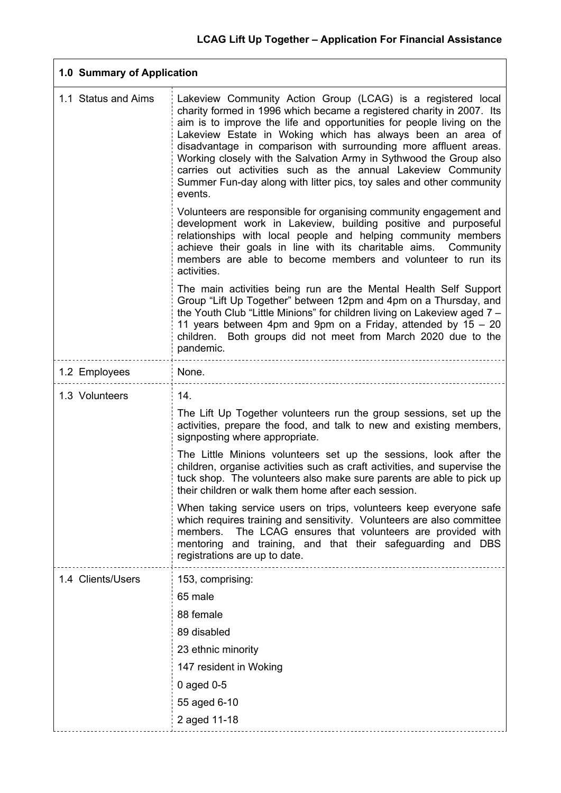|                     | 1.0 Summary of Application                                                                                                                                                                                                                                                                                                                                                                                                                                                                                                                                                |  |  |
|---------------------|---------------------------------------------------------------------------------------------------------------------------------------------------------------------------------------------------------------------------------------------------------------------------------------------------------------------------------------------------------------------------------------------------------------------------------------------------------------------------------------------------------------------------------------------------------------------------|--|--|
| 1.1 Status and Aims | Lakeview Community Action Group (LCAG) is a registered local<br>charity formed in 1996 which became a registered charity in 2007. Its<br>aim is to improve the life and opportunities for people living on the<br>Lakeview Estate in Woking which has always been an area of<br>disadvantage in comparison with surrounding more affluent areas.<br>Working closely with the Salvation Army in Sythwood the Group also<br>carries out activities such as the annual Lakeview Community<br>Summer Fun-day along with litter pics, toy sales and other community<br>events. |  |  |
|                     | Volunteers are responsible for organising community engagement and<br>development work in Lakeview, building positive and purposeful<br>relationships with local people and helping community members<br>achieve their goals in line with its charitable aims. Community<br>members are able to become members and volunteer to run its<br>activities.                                                                                                                                                                                                                    |  |  |
|                     | The main activities being run are the Mental Health Self Support<br>Group "Lift Up Together" between 12pm and 4pm on a Thursday, and<br>the Youth Club "Little Minions" for children living on Lakeview aged 7 -<br>11 years between 4pm and 9pm on a Friday, attended by 15 - 20<br>children. Both groups did not meet from March 2020 due to the<br>pandemic.                                                                                                                                                                                                           |  |  |
| 1.2 Employees       | None.                                                                                                                                                                                                                                                                                                                                                                                                                                                                                                                                                                     |  |  |
| 1.3 Volunteers      | 14.<br>The Lift Up Together volunteers run the group sessions, set up the<br>activities, prepare the food, and talk to new and existing members,<br>signposting where appropriate.                                                                                                                                                                                                                                                                                                                                                                                        |  |  |
|                     | The Little Minions volunteers set up the sessions, look after the<br>children, organise activities such as craft activities, and supervise the<br>tuck shop. The volunteers also make sure parents are able to pick up<br>their children or walk them home after each session.                                                                                                                                                                                                                                                                                            |  |  |
|                     | When taking service users on trips, volunteers keep everyone safe<br>which requires training and sensitivity. Volunteers are also committee<br>members.<br>The LCAG ensures that volunteers are provided with<br>mentoring and training, and that their safeguarding and DBS<br>registrations are up to date.                                                                                                                                                                                                                                                             |  |  |
| 1.4 Clients/Users   | 153, comprising:<br>65 male<br>88 female<br>89 disabled<br>23 ethnic minority<br>147 resident in Woking<br>0 aged $0-5$<br>55 aged 6-10<br>2 aged 11-18                                                                                                                                                                                                                                                                                                                                                                                                                   |  |  |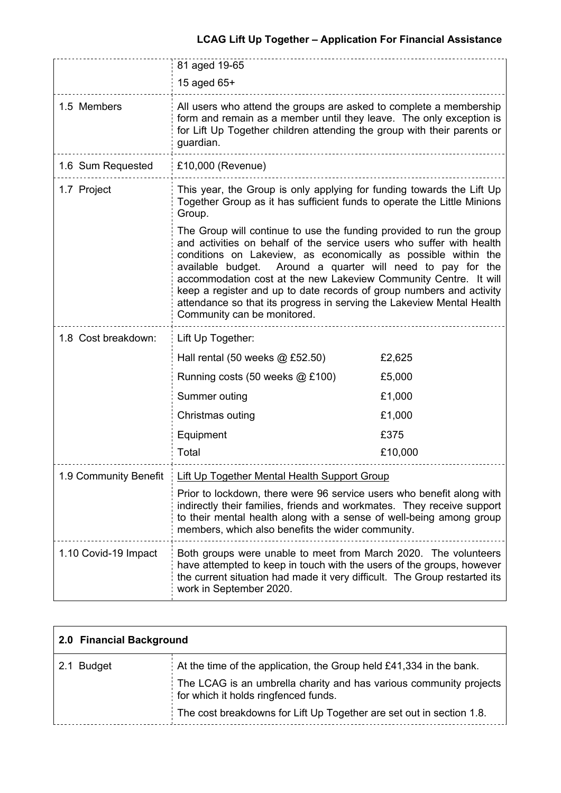# **LCAG Lift Up Together – Application For Financial Assistance**

|                      | 81 aged 19-65<br>15 aged 65+                                                                                                                                                                                                                                                                                                                                                                                                                                                                                                         |         |  |
|----------------------|--------------------------------------------------------------------------------------------------------------------------------------------------------------------------------------------------------------------------------------------------------------------------------------------------------------------------------------------------------------------------------------------------------------------------------------------------------------------------------------------------------------------------------------|---------|--|
| 1.5 Members          | All users who attend the groups are asked to complete a membership<br>form and remain as a member until they leave. The only exception is<br>for Lift Up Together children attending the group with their parents or<br>guardian.                                                                                                                                                                                                                                                                                                    |         |  |
| 1.6 Sum Requested    | £10,000 (Revenue)                                                                                                                                                                                                                                                                                                                                                                                                                                                                                                                    |         |  |
| 1.7 Project          | This year, the Group is only applying for funding towards the Lift Up<br>Together Group as it has sufficient funds to operate the Little Minions<br>Group.                                                                                                                                                                                                                                                                                                                                                                           |         |  |
|                      | The Group will continue to use the funding provided to run the group<br>and activities on behalf of the service users who suffer with health<br>conditions on Lakeview, as economically as possible within the<br>Around a quarter will need to pay for the<br>available budget.<br>accommodation cost at the new Lakeview Community Centre. It will<br>keep a register and up to date records of group numbers and activity<br>attendance so that its progress in serving the Lakeview Mental Health<br>Community can be monitored. |         |  |
| 1.8 Cost breakdown:  | Lift Up Together:                                                                                                                                                                                                                                                                                                                                                                                                                                                                                                                    |         |  |
|                      | Hall rental $(50$ weeks $@$ £52.50)                                                                                                                                                                                                                                                                                                                                                                                                                                                                                                  | £2,625  |  |
|                      | Running costs (50 weeks @ £100)                                                                                                                                                                                                                                                                                                                                                                                                                                                                                                      | £5,000  |  |
|                      | Summer outing                                                                                                                                                                                                                                                                                                                                                                                                                                                                                                                        | £1,000  |  |
|                      | Christmas outing                                                                                                                                                                                                                                                                                                                                                                                                                                                                                                                     | £1,000  |  |
|                      | Equipment                                                                                                                                                                                                                                                                                                                                                                                                                                                                                                                            | £375    |  |
|                      | Total                                                                                                                                                                                                                                                                                                                                                                                                                                                                                                                                | £10,000 |  |
|                      | 1.9 Community Benefit   Lift Up Together Mental Health Support Group                                                                                                                                                                                                                                                                                                                                                                                                                                                                 |         |  |
|                      | Prior to lockdown, there were 96 service users who benefit along with<br>indirectly their families, friends and workmates. They receive support<br>to their mental health along with a sense of well-being among group<br>members, which also benefits the wider community.                                                                                                                                                                                                                                                          |         |  |
| 1.10 Covid-19 Impact | Both groups were unable to meet from March 2020. The volunteers<br>have attempted to keep in touch with the users of the groups, however<br>the current situation had made it very difficult. The Group restarted its<br>work in September 2020.                                                                                                                                                                                                                                                                                     |         |  |

| 2.0 Financial Background |                                                                                                            |
|--------------------------|------------------------------------------------------------------------------------------------------------|
| 2.1 Budget               | At the time of the application, the Group held £41,334 in the bank.                                        |
|                          | The LCAG is an umbrella charity and has various community projects<br>for which it holds ringfenced funds. |
|                          | The cost breakdowns for Lift Up Together are set out in section 1.8.                                       |